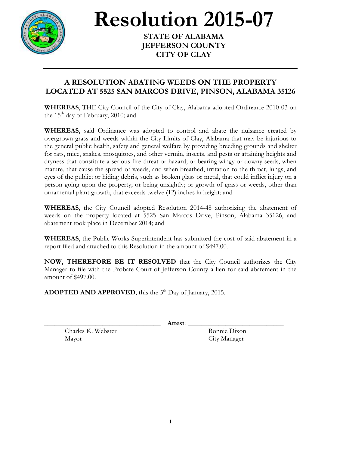

**Resolution 2015-07** 

**STATE OF ALABAMA JEFFERSON COUNTY CITY OF CLAY**

## **A RESOLUTION ABATING WEEDS ON THE PROPERTY LOCATED AT 5525 SAN MARCOS DRIVE, PINSON, ALABAMA 35126**

**WHEREAS**, THE City Council of the City of Clay, Alabama adopted Ordinance 2010-03 on the  $15<sup>th</sup>$  day of February, 2010; and

**WHEREAS,** said Ordinance was adopted to control and abate the nuisance created by overgrown grass and weeds within the City Limits of Clay, Alabama that may be injurious to the general public health, safety and general welfare by providing breeding grounds and shelter for rats, mice, snakes, mosquitoes, and other vermin, insects, and pests or attaining heights and dryness that constitute a serious fire threat or hazard; or bearing wingy or downy seeds, when mature, that cause the spread of weeds, and when breathed, irritation to the throat, lungs, and eyes of the public; or hiding debris, such as broken glass or metal, that could inflict injury on a person going upon the property; or being unsightly; or growth of grass or weeds, other than ornamental plant growth, that exceeds twelve (12) inches in height; and

**WHEREAS**, the City Council adopted Resolution 2014-48 authorizing the abatement of weeds on the property located at 5525 San Marcos Drive, Pinson, Alabama 35126, and abatement took place in December 2014; and

**WHEREAS**, the Public Works Superintendent has submitted the cost of said abatement in a report filed and attached to this Resolution in the amount of \$497.00.

**NOW, THEREFORE BE IT RESOLVED** that the City Council authorizes the City Manager to file with the Probate Court of Jefferson County a lien for said abatement in the amount of \$497.00.

ADOPTED AND APPROVED, this the 5<sup>th</sup> Day of January, 2015.

\_\_\_\_\_\_\_\_\_\_\_\_\_\_\_\_\_\_\_\_\_\_\_\_\_\_\_\_\_\_\_\_\_\_ **Attest**: \_\_\_\_\_\_\_\_\_\_\_\_\_\_\_\_\_\_\_\_\_\_\_\_\_\_\_\_

Charles K. Webster Ronnie Dixon Mayor City Manager